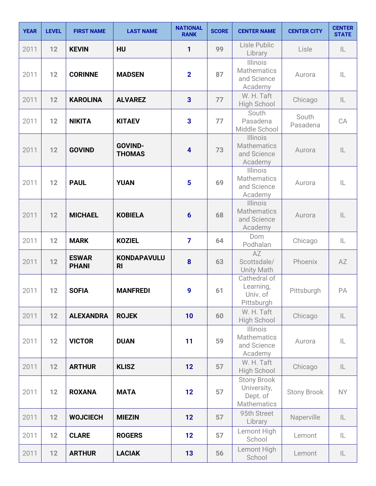| <b>YEAR</b> | <b>LEVEL</b> | <b>FIRST NAME</b>            | <b>LAST NAME</b>                     | <b>NATIONAL</b><br><b>RANK</b> | <b>SCORE</b> | <b>CENTER NAME</b>                                                  | <b>CENTER CITY</b> | <b>CENTER</b><br><b>STATE</b> |
|-------------|--------------|------------------------------|--------------------------------------|--------------------------------|--------------|---------------------------------------------------------------------|--------------------|-------------------------------|
| 2011        | 12           | <b>KEVIN</b>                 | HU                                   | 1                              | 99           | Lisle Public<br>Library                                             | Lisle              | IL                            |
| 2011        | 12           | <b>CORINNE</b>               | <b>MADSEN</b>                        | $\overline{2}$                 | 87           | <b>Illinois</b><br><b>Mathematics</b><br>and Science<br>Academy     | Aurora             | IL                            |
| 2011        | 12           | <b>KAROLINA</b>              | <b>ALVAREZ</b>                       | 3                              | 77           | W. H. Taft<br><b>High School</b>                                    | Chicago            | IL                            |
| 2011        | 12           | <b>NIKITA</b>                | <b>KITAEV</b>                        | $\overline{\mathbf{3}}$        | 77           | South<br>Pasadena<br>Middle School                                  | South<br>Pasadena  | CA                            |
| 2011        | 12           | <b>GOVIND</b>                | <b>GOVIND-</b><br><b>THOMAS</b>      | 4                              | 73           | Illinois<br><b>Mathematics</b><br>and Science<br>Academy            | Aurora             | $\mathsf{IL}$                 |
| 2011        | 12           | <b>PAUL</b>                  | <b>YUAN</b>                          | 5                              | 69           | <b>Illinois</b><br><b>Mathematics</b><br>and Science<br>Academy     | Aurora             | IL                            |
| 2011        | 12           | <b>MICHAEL</b>               | <b>KOBIELA</b>                       | $6\phantom{1}6$                | 68           | <b>Illinois</b><br><b>Mathematics</b><br>and Science<br>Academy     | Aurora             | $\mathsf{IL}$                 |
| 2011        | 12           | <b>MARK</b>                  | <b>KOZIEL</b>                        | $\overline{7}$                 | 64           | Dom<br>Podhalan                                                     | Chicago            | IL                            |
| 2011        | 12           | <b>ESWAR</b><br><b>PHANI</b> | <b>KONDAPAVULU</b><br>R <sub>l</sub> | 8                              | 63           | AZ<br>Scottsdale/<br><b>Unity Math</b>                              | Phoenix            | AZ                            |
| 2011        | 12           | <b>SOFIA</b>                 | <b>MANFREDI</b>                      | 9                              | 61           | Cathedral of<br>Learning,<br>Univ. of<br>Pittsburgh                 | Pittsburgh         | PA                            |
| 2011        | 12           | <b>ALEXANDRA</b>             | <b>ROJEK</b>                         | 10                             | 60           | W. H. Taft<br><b>High School</b>                                    | Chicago            | $\mathsf{IL}$                 |
| 2011        | 12           | <b>VICTOR</b>                | <b>DUAN</b>                          | 11                             | 59           | <b>Illinois</b><br><b>Mathematics</b><br>and Science<br>Academy     | Aurora             | IL                            |
| 2011        | 12           | <b>ARTHUR</b>                | <b>KLISZ</b>                         | 12                             | 57           | W. H. Taft<br>High School                                           | Chicago            | IL.                           |
| 2011        | 12           | <b>ROXANA</b>                | <b>MATA</b>                          | 12                             | 57           | <b>Stony Brook</b><br>University,<br>Dept. of<br><b>Mathematics</b> | <b>Stony Brook</b> | <b>NY</b>                     |
| 2011        | 12           | <b>WOJCIECH</b>              | <b>MIEZIN</b>                        | 12                             | 57           | 95th Street<br>Library                                              | Naperville         | IL                            |
| 2011        | 12           | <b>CLARE</b>                 | <b>ROGERS</b>                        | 12                             | 57           | Lemont High<br>School                                               | Lemont             | IL                            |
| 2011        | 12           | <b>ARTHUR</b>                | <b>LACIAK</b>                        | 13                             | 56           | Lemont High<br>School                                               | Lemont             | $\mathsf{IL}$                 |